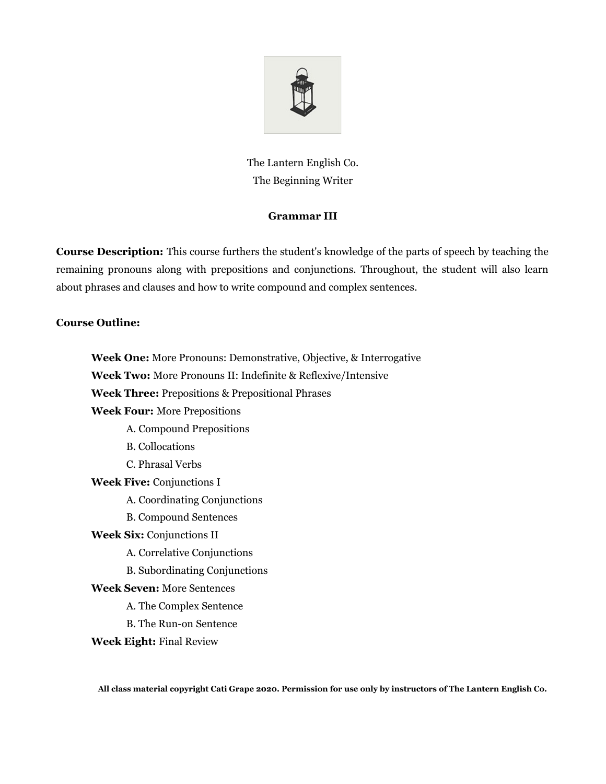

The Lantern English Co. The Beginning Writer

# **Grammar III**

**Course Description:** This course furthers the student's knowledge of the parts of speech by teaching the remaining pronouns along with prepositions and conjunctions. Throughout, the student will also learn about phrases and clauses and how to write compound and complex sentences.

# **Course Outline:**

**Week One:** More Pronouns: Demonstrative, Objective, & Interrogative **Week Two:** More Pronouns II: Indefinite & Reflexive/Intensive **Week Three:** Prepositions & Prepositional Phrases **Week Four:** More Prepositions A. Compound Prepositions B. Collocations C. Phrasal Verbs **Week Five:** Conjunctions I A. Coordinating Conjunctions B. Compound Sentences **Week Six:** Conjunctions II A. Correlative Conjunctions B. Subordinating Conjunctions **Week Seven:** More Sentences A. The Complex Sentence B. The Run-on Sentence

**Week Eight:** Final Review

**All class material copyright Cati Grape 2020. Permission for use only by instructors of The Lantern English Co.**